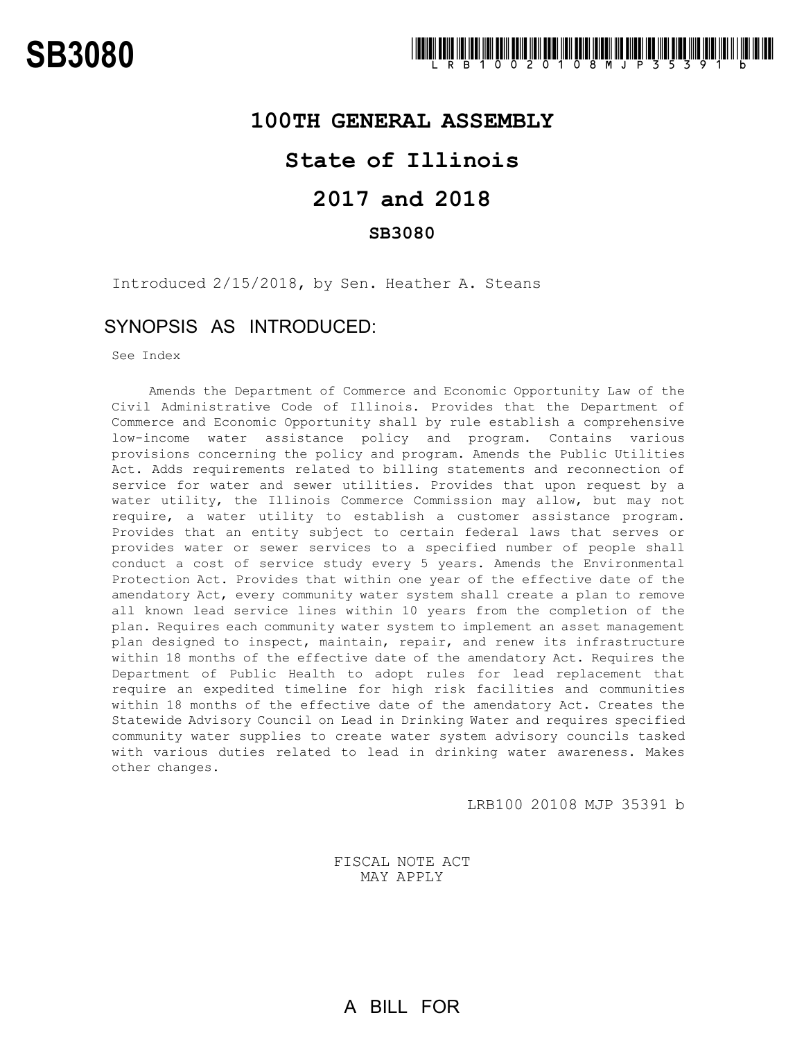## **100TH GENERAL ASSEMBLY**

# **State of Illinois**

# **2017 and 2018**

## **SB3080**

Introduced 2/15/2018, by Sen. Heather A. Steans

# SYNOPSIS AS INTRODUCED:

See Index

Amends the Department of Commerce and Economic Opportunity Law of the Civil Administrative Code of Illinois. Provides that the Department of Commerce and Economic Opportunity shall by rule establish a comprehensive low-income water assistance policy and program. Contains various provisions concerning the policy and program. Amends the Public Utilities Act. Adds requirements related to billing statements and reconnection of service for water and sewer utilities. Provides that upon request by a water utility, the Illinois Commerce Commission may allow, but may not require, a water utility to establish a customer assistance program. Provides that an entity subject to certain federal laws that serves or provides water or sewer services to a specified number of people shall conduct a cost of service study every 5 years. Amends the Environmental Protection Act. Provides that within one year of the effective date of the amendatory Act, every community water system shall create a plan to remove all known lead service lines within 10 years from the completion of the plan. Requires each community water system to implement an asset management plan designed to inspect, maintain, repair, and renew its infrastructure within 18 months of the effective date of the amendatory Act. Requires the Department of Public Health to adopt rules for lead replacement that require an expedited timeline for high risk facilities and communities within 18 months of the effective date of the amendatory Act. Creates the Statewide Advisory Council on Lead in Drinking Water and requires specified community water supplies to create water system advisory councils tasked with various duties related to lead in drinking water awareness. Makes other changes.

LRB100 20108 MJP 35391 b

FISCAL NOTE ACT MAY APPLY

A BILL FOR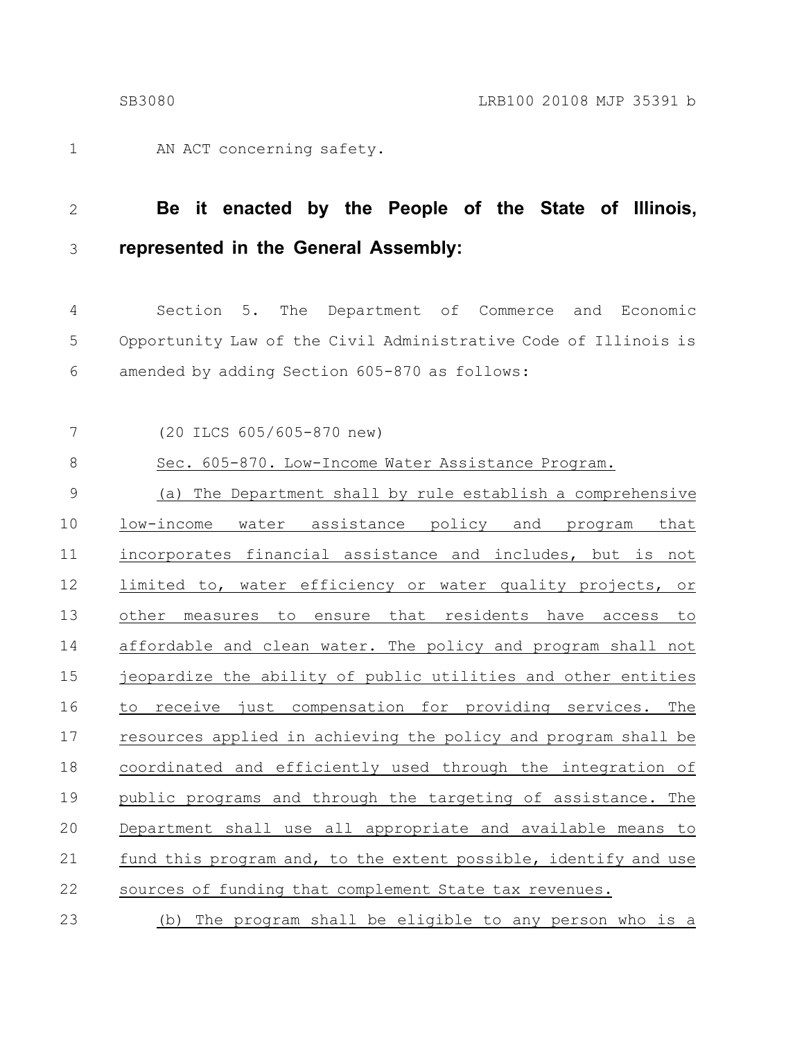AN ACT concerning safety. 1

### **Be it enacted by the People of the State of Illinois, represented in the General Assembly:** 2 3

Section 5. The Department of Commerce and Economic Opportunity Law of the Civil Administrative Code of Illinois is amended by adding Section 605-870 as follows: 4 5 6

(20 ILCS 605/605-870 new) 7

Sec. 605-870. Low-Income Water Assistance Program. 8

(a) The Department shall by rule establish a comprehensive low-income water assistance policy and program that incorporates financial assistance and includes, but is not limited to, water efficiency or water quality projects, or other measures to ensure that residents have access to affordable and clean water. The policy and program shall not jeopardize the ability of public utilities and other entities to receive just compensation for providing services. The resources applied in achieving the policy and program shall be coordinated and efficiently used through the integration of public programs and through the targeting of assistance. The Department shall use all appropriate and available means to fund this program and, to the extent possible, identify and use sources of funding that complement State tax revenues. 9 10 11 12 13 14 15 16 17 18 19 20 21 22

(b) The program shall be eligible to any person who is a 23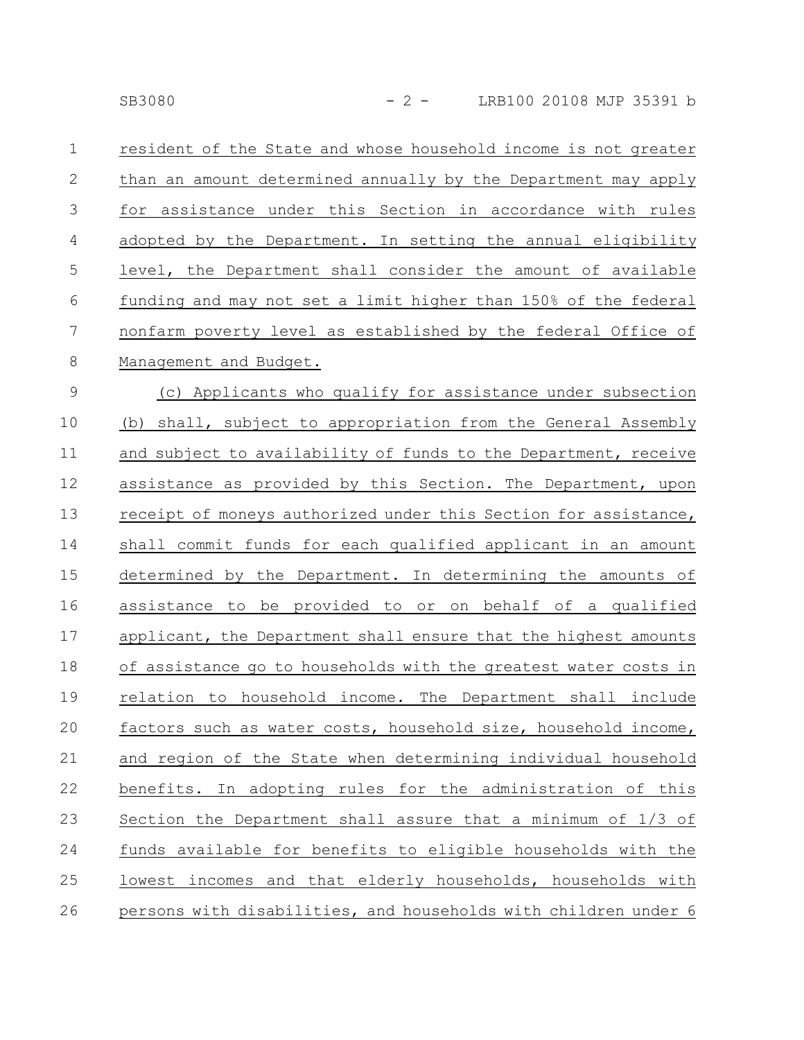resident of the State and whose household income is not greater than an amount determined annually by the Department may apply for assistance under this Section in accordance with rules adopted by the Department. In setting the annual eligibility level, the Department shall consider the amount of available funding and may not set a limit higher than 150% of the federal nonfarm poverty level as established by the federal Office of Management and Budget. 1 2 3 4 5 6 7 8

(c) Applicants who qualify for assistance under subsection (b) shall, subject to appropriation from the General Assembly and subject to availability of funds to the Department, receive assistance as provided by this Section. The Department, upon receipt of moneys authorized under this Section for assistance, shall commit funds for each qualified applicant in an amount determined by the Department. In determining the amounts of assistance to be provided to or on behalf of a qualified applicant, the Department shall ensure that the highest amounts of assistance go to households with the greatest water costs in relation to household income. The Department shall include factors such as water costs, household size, household income, and region of the State when determining individual household benefits. In adopting rules for the administration of this Section the Department shall assure that a minimum of 1/3 of funds available for benefits to eligible households with the lowest incomes and that elderly households, households with persons with disabilities, and households with children under 6 9 10 11 12 13 14 15 16 17 18 19 20 21 22 23 24 25 26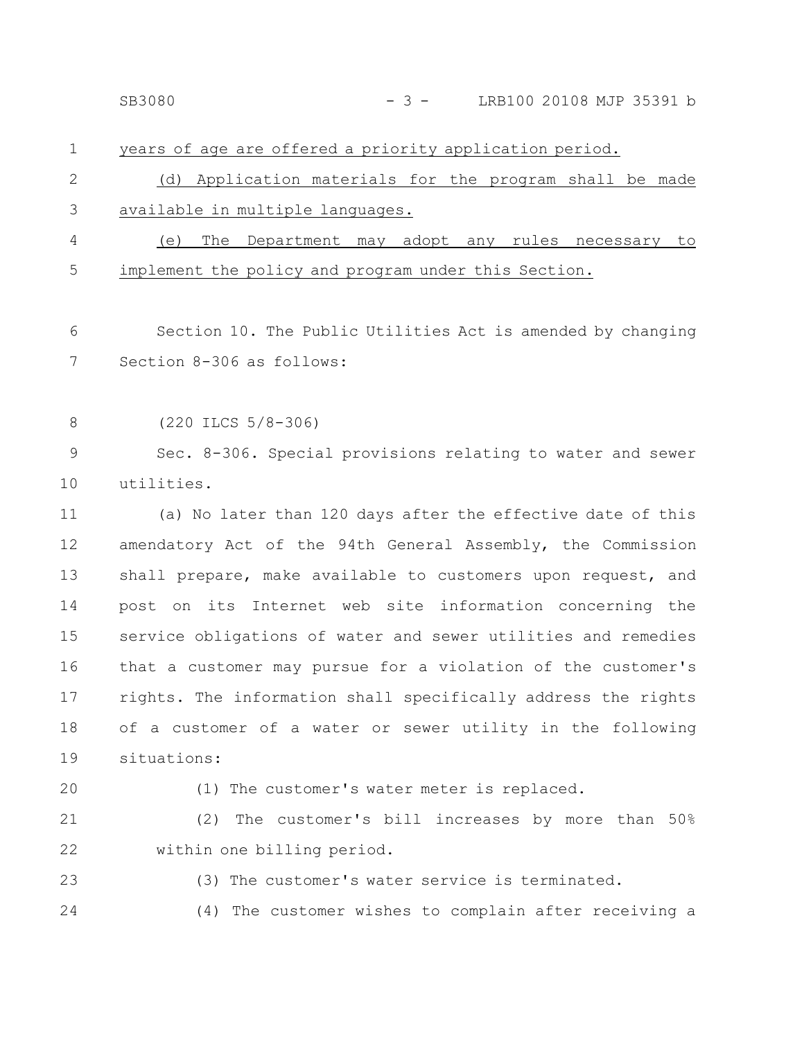| SB3080 | LRB100 20108 MJP 35391 b |  |  |
|--------|--------------------------|--|--|
|        |                          |  |  |

## years of age are offered a priority application period. (d) Application materials for the program shall be made available in multiple languages. (e) The Department may adopt any rules necessary to implement the policy and program under this Section. Section 10. The Public Utilities Act is amended by changing Section 8-306 as follows: (220 ILCS 5/8-306) Sec. 8-306. Special provisions relating to water and sewer utilities. (a) No later than 120 days after the effective date of this amendatory Act of the 94th General Assembly, the Commission shall prepare, make available to customers upon request, and post on its Internet web site information concerning the service obligations of water and sewer utilities and remedies that a customer may pursue for a violation of the customer's rights. The information shall specifically address the rights of a customer of a water or sewer utility in the following situations: (1) The customer's water meter is replaced. (2) The customer's bill increases by more than 50% within one billing period. (3) The customer's water service is terminated. (4) The customer wishes to complain after receiving a 1 2 3 4 5 6 7 8 9 10 11 12 13 14 15 16 17 18 19 20 21 22 23 24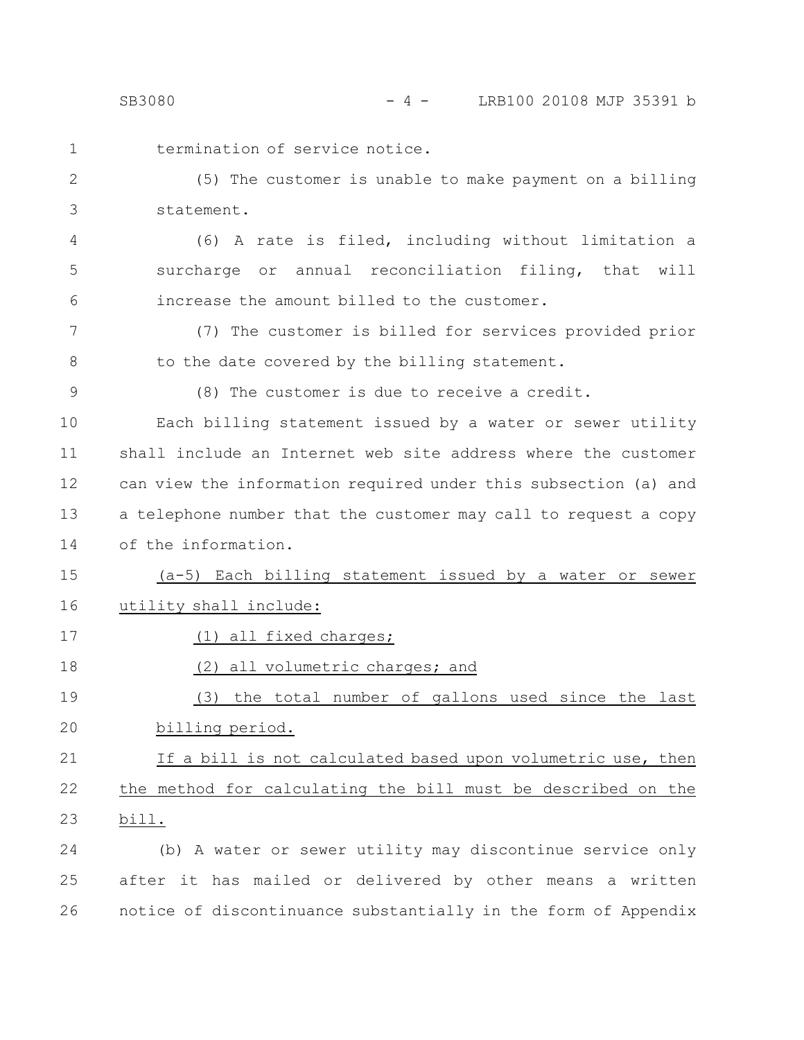- 
- termination of service notice. 1

(5) The customer is unable to make payment on a billing statement. 2 3

(6) A rate is filed, including without limitation a surcharge or annual reconciliation filing, that will increase the amount billed to the customer. 4 5 6

(7) The customer is billed for services provided prior to the date covered by the billing statement. 7 8

9

(8) The customer is due to receive a credit.

Each billing statement issued by a water or sewer utility shall include an Internet web site address where the customer can view the information required under this subsection (a) and a telephone number that the customer may call to request a copy of the information. 10 11 12 13 14

(a-5) Each billing statement issued by a water or sewer utility shall include: 15 16

17

18

(1) all fixed charges;

(2) all volumetric charges; and

(3) the total number of gallons used since the last billing period. 19 20

#### If a bill is not calculated based upon volumetric use, then the method for calculating the bill must be described on the bill. 21 22 23

(b) A water or sewer utility may discontinue service only after it has mailed or delivered by other means a written notice of discontinuance substantially in the form of Appendix 24 25 26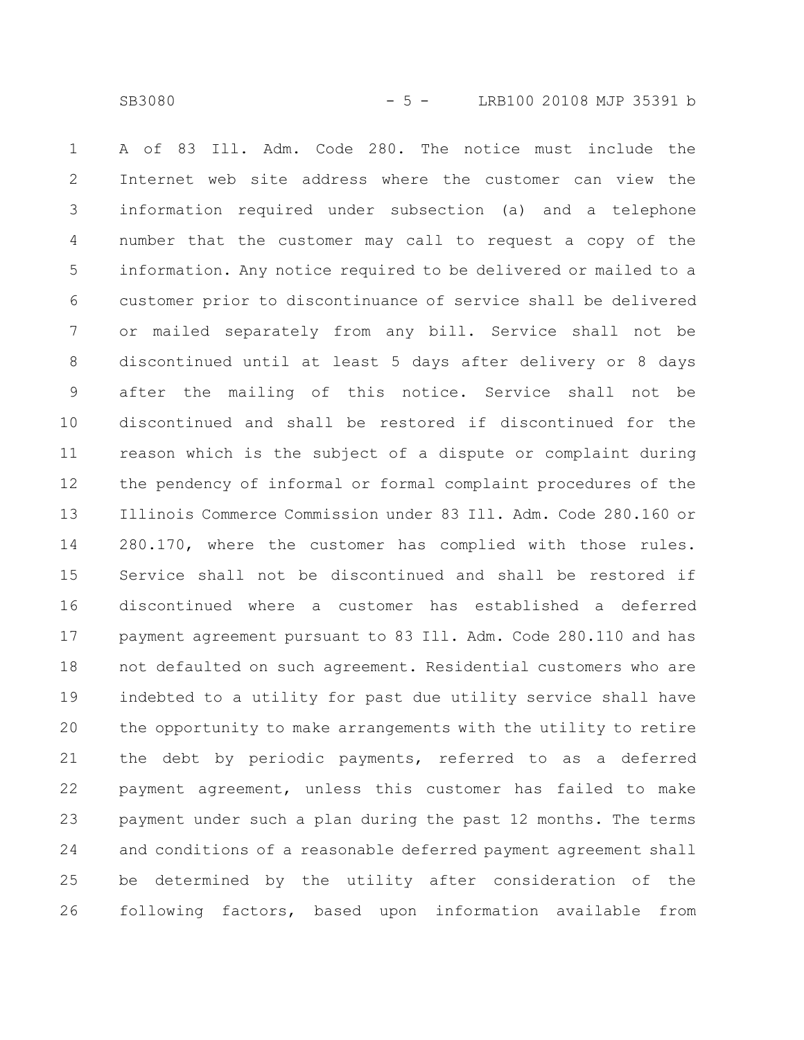SB3080 - 5 - LRB100 20108 MJP 35391 b

A of 83 Ill. Adm. Code 280. The notice must include the Internet web site address where the customer can view the information required under subsection (a) and a telephone number that the customer may call to request a copy of the information. Any notice required to be delivered or mailed to a customer prior to discontinuance of service shall be delivered or mailed separately from any bill. Service shall not be discontinued until at least 5 days after delivery or 8 days after the mailing of this notice. Service shall not be discontinued and shall be restored if discontinued for the reason which is the subject of a dispute or complaint during the pendency of informal or formal complaint procedures of the Illinois Commerce Commission under 83 Ill. Adm. Code 280.160 or 280.170, where the customer has complied with those rules. Service shall not be discontinued and shall be restored if discontinued where a customer has established a deferred payment agreement pursuant to 83 Ill. Adm. Code 280.110 and has not defaulted on such agreement. Residential customers who are indebted to a utility for past due utility service shall have the opportunity to make arrangements with the utility to retire the debt by periodic payments, referred to as a deferred payment agreement, unless this customer has failed to make payment under such a plan during the past 12 months. The terms and conditions of a reasonable deferred payment agreement shall be determined by the utility after consideration of the following factors, based upon information available from 1 2 3 4 5 6 7 8 9 10 11 12 13 14 15 16 17 18 19 20 21 22 23 24 25 26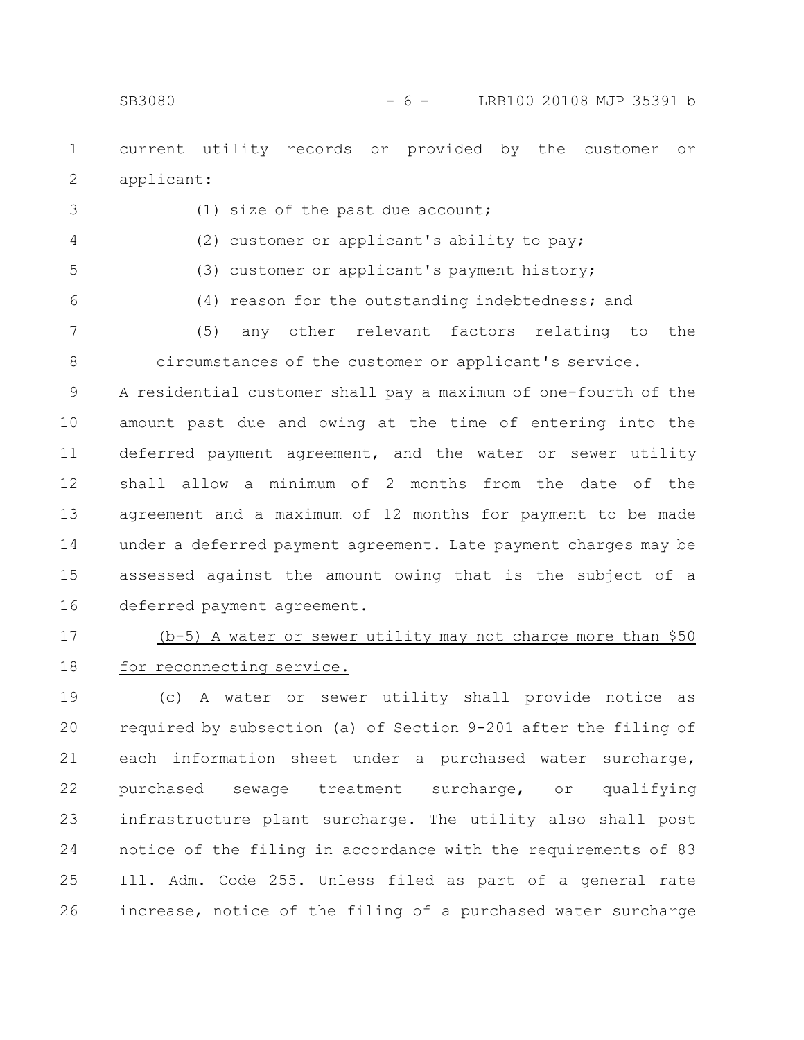3

current utility records or provided by the customer or applicant: 1 2

(1) size of the past due account;

(2) customer or applicant's ability to pay; (3) customer or applicant's payment history; (4) reason for the outstanding indebtedness; and (5) any other relevant factors relating to the circumstances of the customer or applicant's service. A residential customer shall pay a maximum of one-fourth of the amount past due and owing at the time of entering into the deferred payment agreement, and the water or sewer utility 4 5 6 7 8 9 10 11

shall allow a minimum of 2 months from the date of the agreement and a maximum of 12 months for payment to be made under a deferred payment agreement. Late payment charges may be assessed against the amount owing that is the subject of a deferred payment agreement. 12 13 14 15 16

(b-5) A water or sewer utility may not charge more than \$50 for reconnecting service. 17 18

(c) A water or sewer utility shall provide notice as required by subsection (a) of Section 9-201 after the filing of each information sheet under a purchased water surcharge, purchased sewage treatment surcharge, or qualifying infrastructure plant surcharge. The utility also shall post notice of the filing in accordance with the requirements of 83 Ill. Adm. Code 255. Unless filed as part of a general rate increase, notice of the filing of a purchased water surcharge 19 20 21 22 23 24 25 26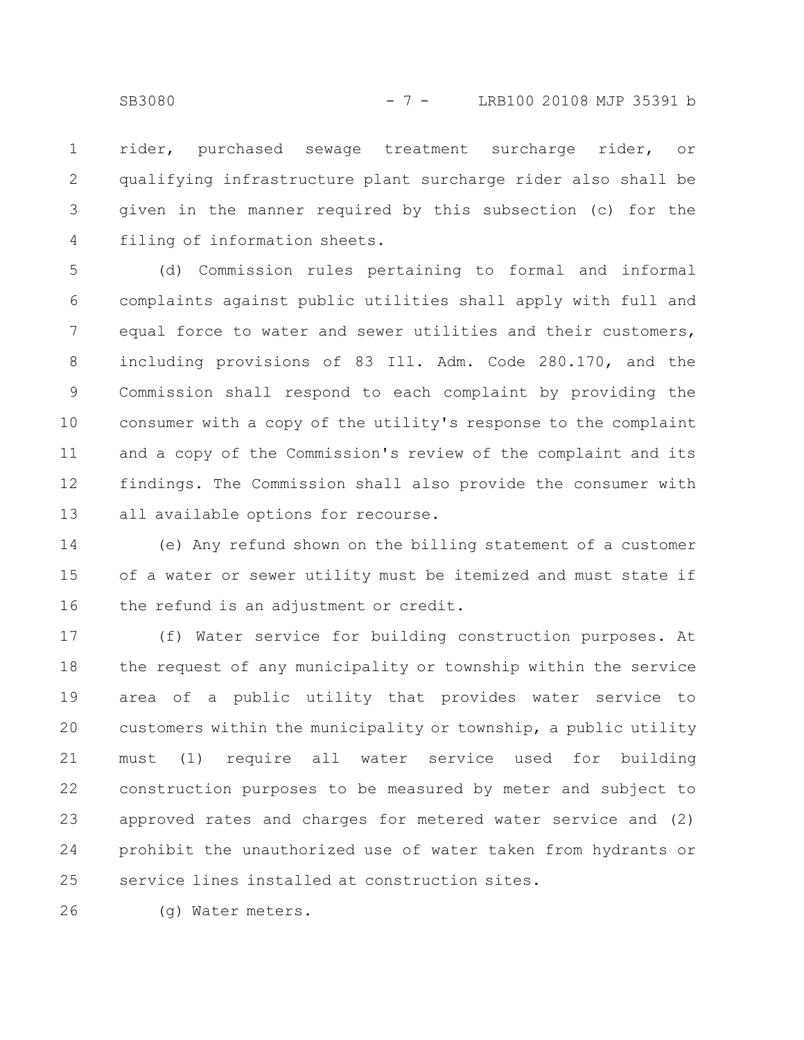rider, purchased sewage treatment surcharge rider, or qualifying infrastructure plant surcharge rider also shall be given in the manner required by this subsection (c) for the filing of information sheets. 1 2 3 4

(d) Commission rules pertaining to formal and informal complaints against public utilities shall apply with full and equal force to water and sewer utilities and their customers, including provisions of 83 Ill. Adm. Code 280.170, and the Commission shall respond to each complaint by providing the consumer with a copy of the utility's response to the complaint and a copy of the Commission's review of the complaint and its findings. The Commission shall also provide the consumer with all available options for recourse. 5 6 7 8 9 10 11 12 13

(e) Any refund shown on the billing statement of a customer of a water or sewer utility must be itemized and must state if the refund is an adjustment or credit. 14 15 16

(f) Water service for building construction purposes. At the request of any municipality or township within the service area of a public utility that provides water service to customers within the municipality or township, a public utility must (1) require all water service used for building construction purposes to be measured by meter and subject to approved rates and charges for metered water service and (2) prohibit the unauthorized use of water taken from hydrants or service lines installed at construction sites. 17 18 19 20 21 22 23 24 25

(g) Water meters. 26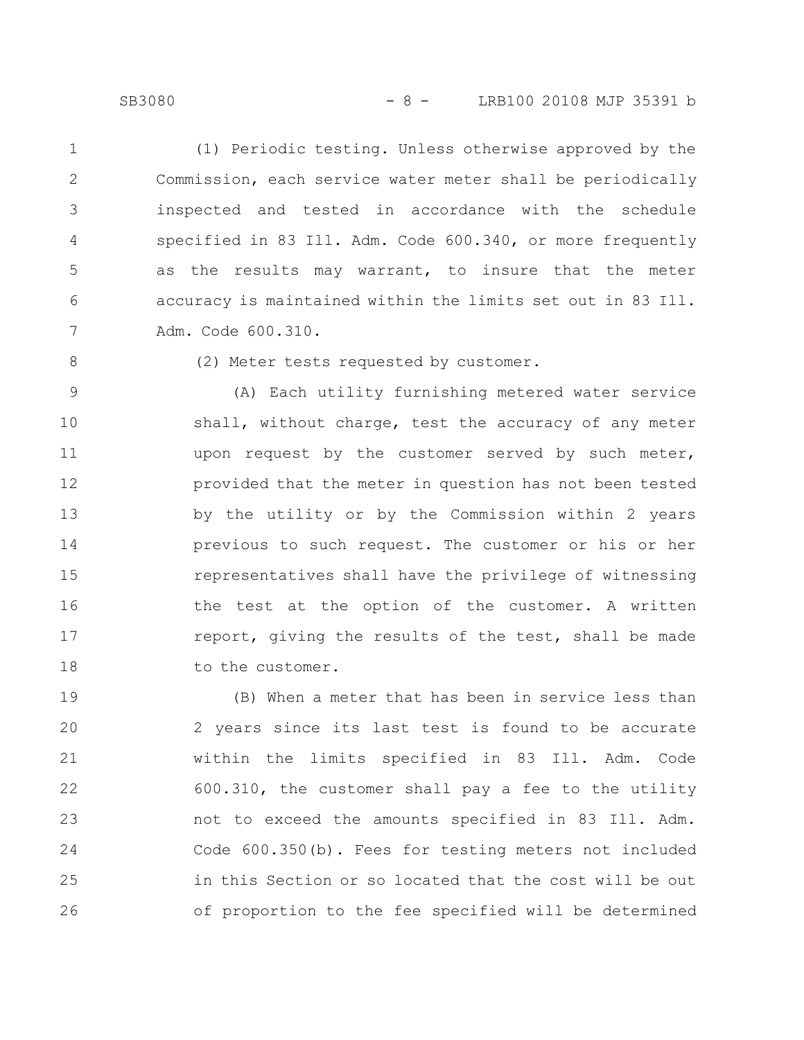## SB3080 - 8 - LRB100 20108 MJP 35391 b

(1) Periodic testing. Unless otherwise approved by the Commission, each service water meter shall be periodically inspected and tested in accordance with the schedule specified in 83 Ill. Adm. Code 600.340, or more frequently as the results may warrant, to insure that the meter accuracy is maintained within the limits set out in 83 Ill. Adm. Code 600.310. 1 2 3 4 5 6 7

8

(2) Meter tests requested by customer.

(A) Each utility furnishing metered water service shall, without charge, test the accuracy of any meter upon request by the customer served by such meter, provided that the meter in question has not been tested by the utility or by the Commission within 2 years previous to such request. The customer or his or her representatives shall have the privilege of witnessing the test at the option of the customer. A written report, giving the results of the test, shall be made to the customer. 9 10 11 12 13 14 15 16 17 18

(B) When a meter that has been in service less than 2 years since its last test is found to be accurate within the limits specified in 83 Ill. Adm. Code 600.310, the customer shall pay a fee to the utility not to exceed the amounts specified in 83 Ill. Adm. Code 600.350(b). Fees for testing meters not included in this Section or so located that the cost will be out of proportion to the fee specified will be determined 19 20 21 22 23 24 25 26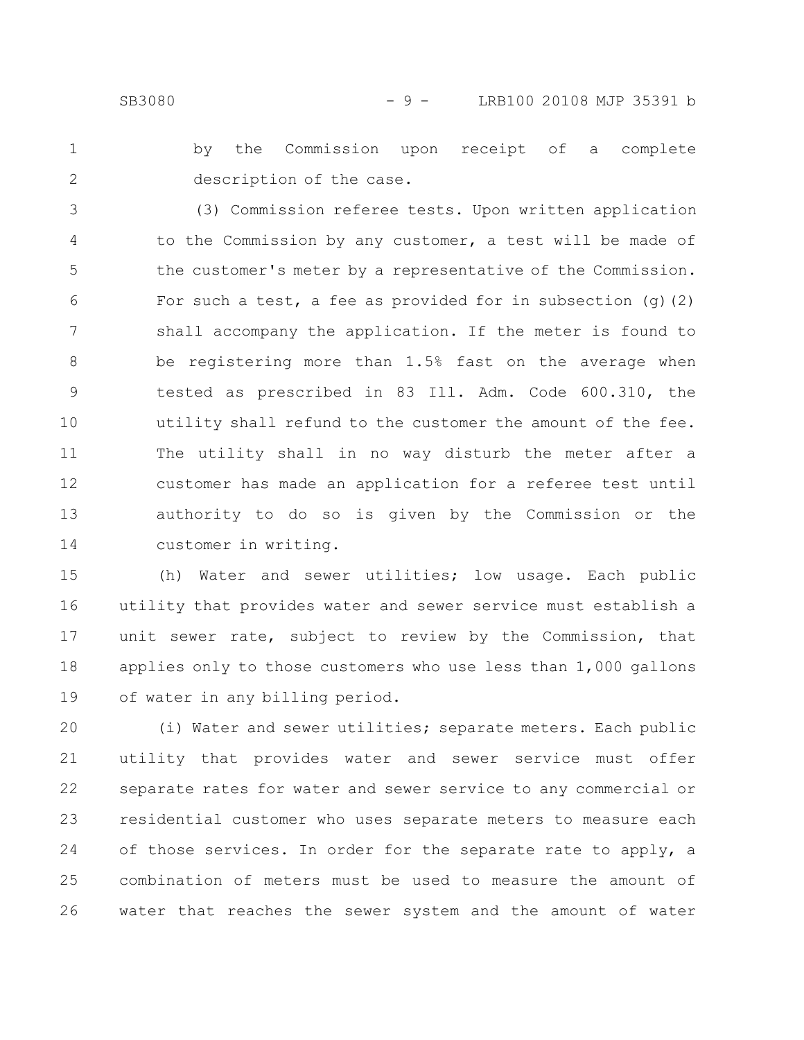by the Commission upon receipt of a complete description of the case. 1 2

(3) Commission referee tests. Upon written application to the Commission by any customer, a test will be made of the customer's meter by a representative of the Commission. For such a test, a fee as provided for in subsection  $(q)(2)$ shall accompany the application. If the meter is found to be registering more than 1.5% fast on the average when tested as prescribed in 83 Ill. Adm. Code 600.310, the utility shall refund to the customer the amount of the fee. The utility shall in no way disturb the meter after a customer has made an application for a referee test until authority to do so is given by the Commission or the customer in writing. 3 4 5 6 7 8 9 10 11 12 13 14

(h) Water and sewer utilities; low usage. Each public utility that provides water and sewer service must establish a unit sewer rate, subject to review by the Commission, that applies only to those customers who use less than 1,000 gallons of water in any billing period. 15 16 17 18 19

(i) Water and sewer utilities; separate meters. Each public utility that provides water and sewer service must offer separate rates for water and sewer service to any commercial or residential customer who uses separate meters to measure each of those services. In order for the separate rate to apply, a combination of meters must be used to measure the amount of water that reaches the sewer system and the amount of water 20 21 22 23 24 25 26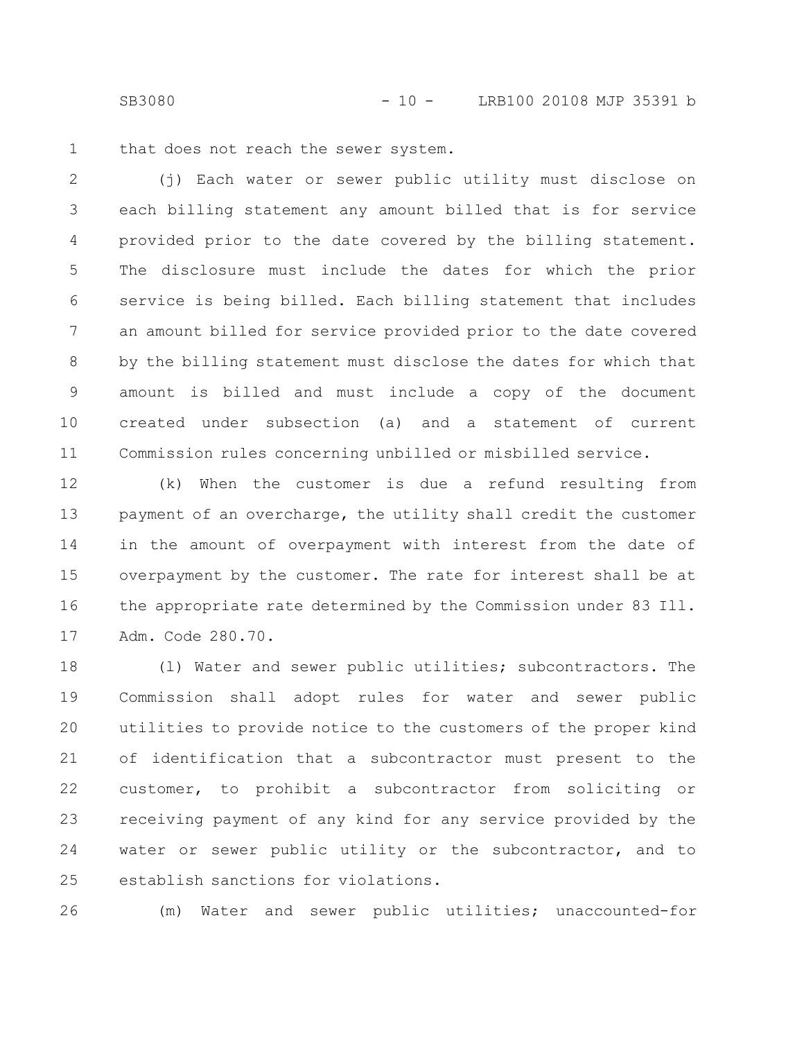SB3080 - 10 - LRB100 20108 MJP 35391 b

that does not reach the sewer system. 1

(j) Each water or sewer public utility must disclose on each billing statement any amount billed that is for service provided prior to the date covered by the billing statement. The disclosure must include the dates for which the prior service is being billed. Each billing statement that includes an amount billed for service provided prior to the date covered by the billing statement must disclose the dates for which that amount is billed and must include a copy of the document created under subsection (a) and a statement of current Commission rules concerning unbilled or misbilled service. 2 3 4 5 6 7 8 9 10 11

(k) When the customer is due a refund resulting from payment of an overcharge, the utility shall credit the customer in the amount of overpayment with interest from the date of overpayment by the customer. The rate for interest shall be at the appropriate rate determined by the Commission under 83 Ill. Adm. Code 280.70. 12 13 14 15 16 17

(l) Water and sewer public utilities; subcontractors. The Commission shall adopt rules for water and sewer public utilities to provide notice to the customers of the proper kind of identification that a subcontractor must present to the customer, to prohibit a subcontractor from soliciting or receiving payment of any kind for any service provided by the water or sewer public utility or the subcontractor, and to establish sanctions for violations. 18 19 20 21 22 23 24 25

(m) Water and sewer public utilities; unaccounted-for 26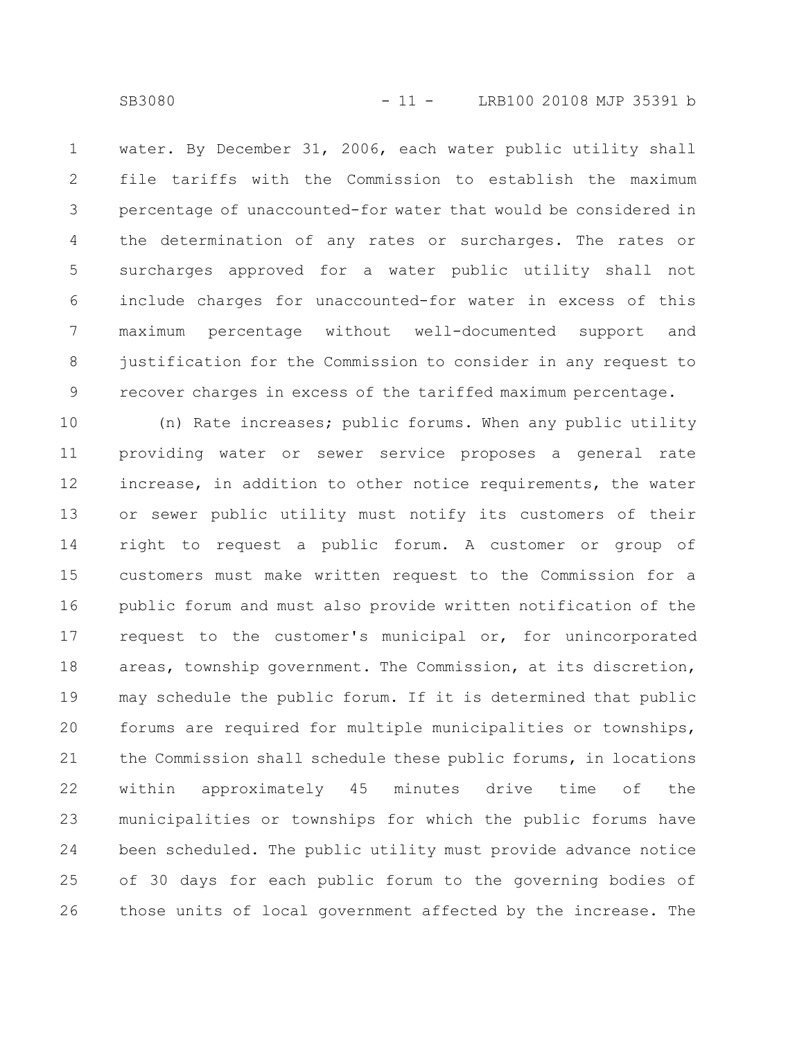water. By December 31, 2006, each water public utility shall file tariffs with the Commission to establish the maximum percentage of unaccounted-for water that would be considered in the determination of any rates or surcharges. The rates or surcharges approved for a water public utility shall not include charges for unaccounted-for water in excess of this maximum percentage without well-documented support and justification for the Commission to consider in any request to recover charges in excess of the tariffed maximum percentage. 1 2 3 4 5 6 7 8 9

(n) Rate increases; public forums. When any public utility providing water or sewer service proposes a general rate increase, in addition to other notice requirements, the water or sewer public utility must notify its customers of their right to request a public forum. A customer or group of customers must make written request to the Commission for a public forum and must also provide written notification of the request to the customer's municipal or, for unincorporated areas, township government. The Commission, at its discretion, may schedule the public forum. If it is determined that public forums are required for multiple municipalities or townships, the Commission shall schedule these public forums, in locations within approximately 45 minutes drive time of the municipalities or townships for which the public forums have been scheduled. The public utility must provide advance notice of 30 days for each public forum to the governing bodies of those units of local government affected by the increase. The 10 11 12 13 14 15 16 17 18 19 20 21 22 23 24 25 26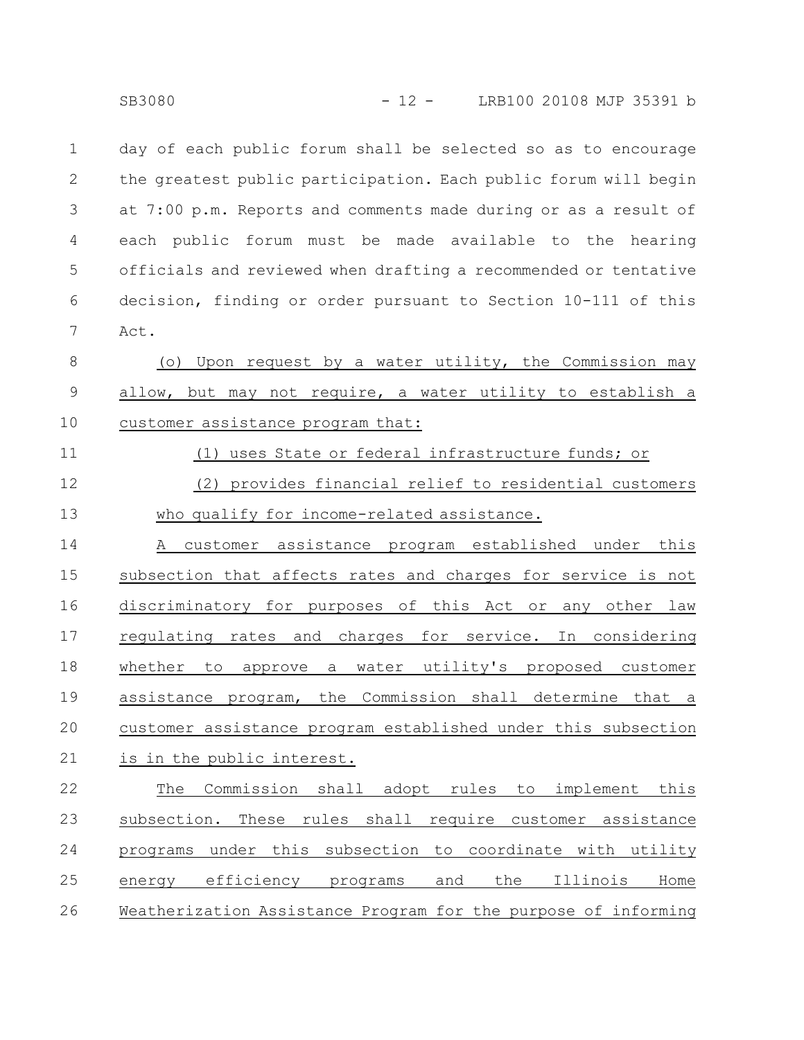day of each public forum shall be selected so as to encourage the greatest public participation. Each public forum will begin at 7:00 p.m. Reports and comments made during or as a result of each public forum must be made available to the hearing officials and reviewed when drafting a recommended or tentative decision, finding or order pursuant to Section 10-111 of this Act. 1 2 3 4 5 6 7

(o) Upon request by a water utility, the Commission may allow, but may not require, a water utility to establish a customer assistance program that: 8 9 10

11

# (1) uses State or federal infrastructure funds; or

(2) provides financial relief to residential customers who qualify for income-related assistance. 12 13

A customer assistance program established under this subsection that affects rates and charges for service is not discriminatory for purposes of this Act or any other law regulating rates and charges for service. In considering whether to approve a water utility's proposed customer assistance program, the Commission shall determine that a customer assistance program established under this subsection is in the public interest. 14 15 16 17 18 19 20 21

The Commission shall adopt rules to implement this subsection. These rules shall require customer assistance programs under this subsection to coordinate with utility energy efficiency programs and the Illinois Home Weatherization Assistance Program for the purpose of informing 22 23 24 25 26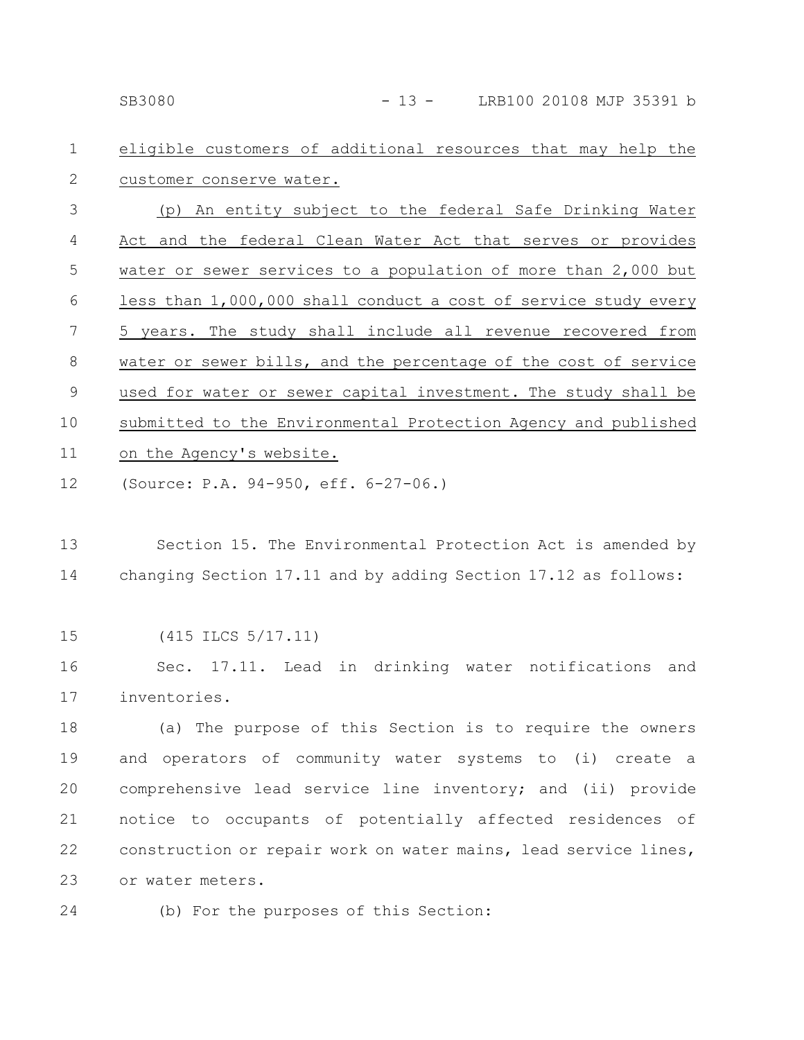#### eligible customers of additional resources that may help the customer conserve water. 1 2

(p) An entity subject to the federal Safe Drinking Water Act and the federal Clean Water Act that serves or provides water or sewer services to a population of more than 2,000 but less than 1,000,000 shall conduct a cost of service study every 5 years. The study shall include all revenue recovered from water or sewer bills, and the percentage of the cost of service used for water or sewer capital investment. The study shall be submitted to the Environmental Protection Agency and published on the Agency's website. 3 4 5 6 7 8 9 10 11

- (Source: P.A. 94-950, eff. 6-27-06.) 12
- Section 15. The Environmental Protection Act is amended by changing Section 17.11 and by adding Section 17.12 as follows: 13 14
- (415 ILCS 5/17.11) 15

Sec. 17.11. Lead in drinking water notifications and inventories. 16 17

(a) The purpose of this Section is to require the owners and operators of community water systems to (i) create a comprehensive lead service line inventory; and (ii) provide notice to occupants of potentially affected residences of construction or repair work on water mains, lead service lines, or water meters. 18 19 20 21 22 23

(b) For the purposes of this Section: 24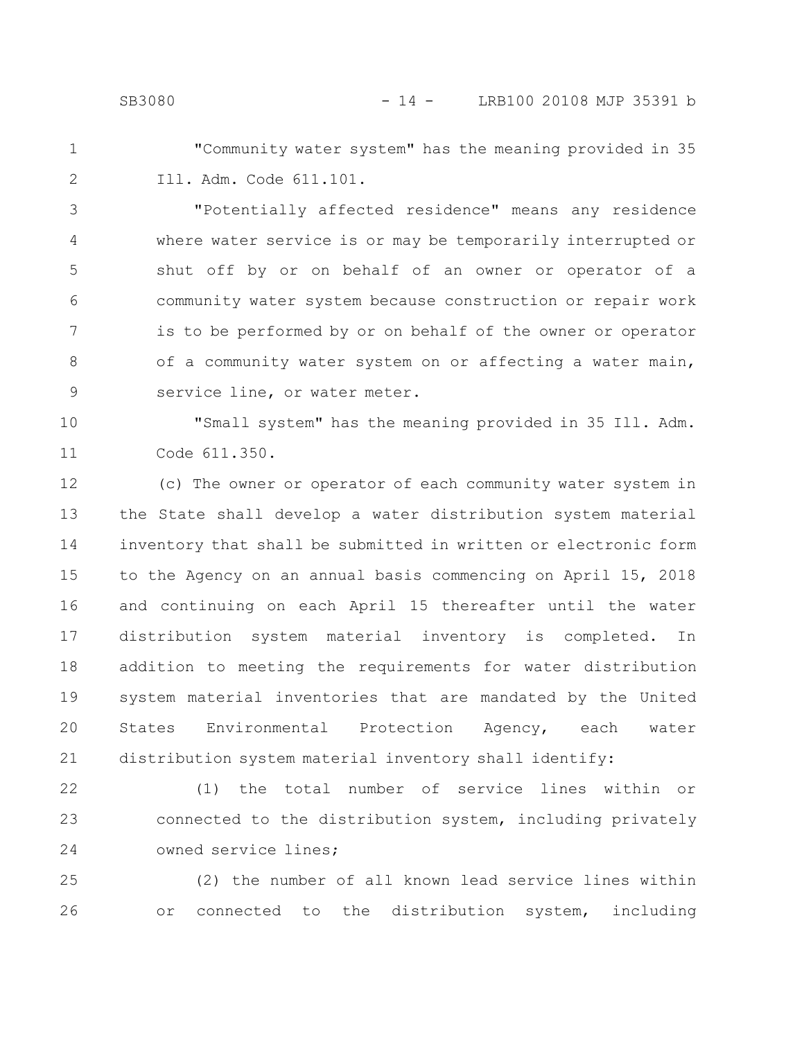- 
- "Community water system" has the meaning provided in 35 Ill. Adm. Code 611.101. 1 2

"Potentially affected residence" means any residence where water service is or may be temporarily interrupted or shut off by or on behalf of an owner or operator of a community water system because construction or repair work is to be performed by or on behalf of the owner or operator of a community water system on or affecting a water main, service line, or water meter. 3 4 5 6 7 8 9

"Small system" has the meaning provided in 35 Ill. Adm. Code 611.350. 10 11

(c) The owner or operator of each community water system in the State shall develop a water distribution system material inventory that shall be submitted in written or electronic form to the Agency on an annual basis commencing on April 15, 2018 and continuing on each April 15 thereafter until the water distribution system material inventory is completed. In addition to meeting the requirements for water distribution system material inventories that are mandated by the United States Environmental Protection Agency, each water distribution system material inventory shall identify: 12 13 14 15 16 17 18 19 20 21

(1) the total number of service lines within or connected to the distribution system, including privately owned service lines; 22 23 24

(2) the number of all known lead service lines within or connected to the distribution system, including 25 26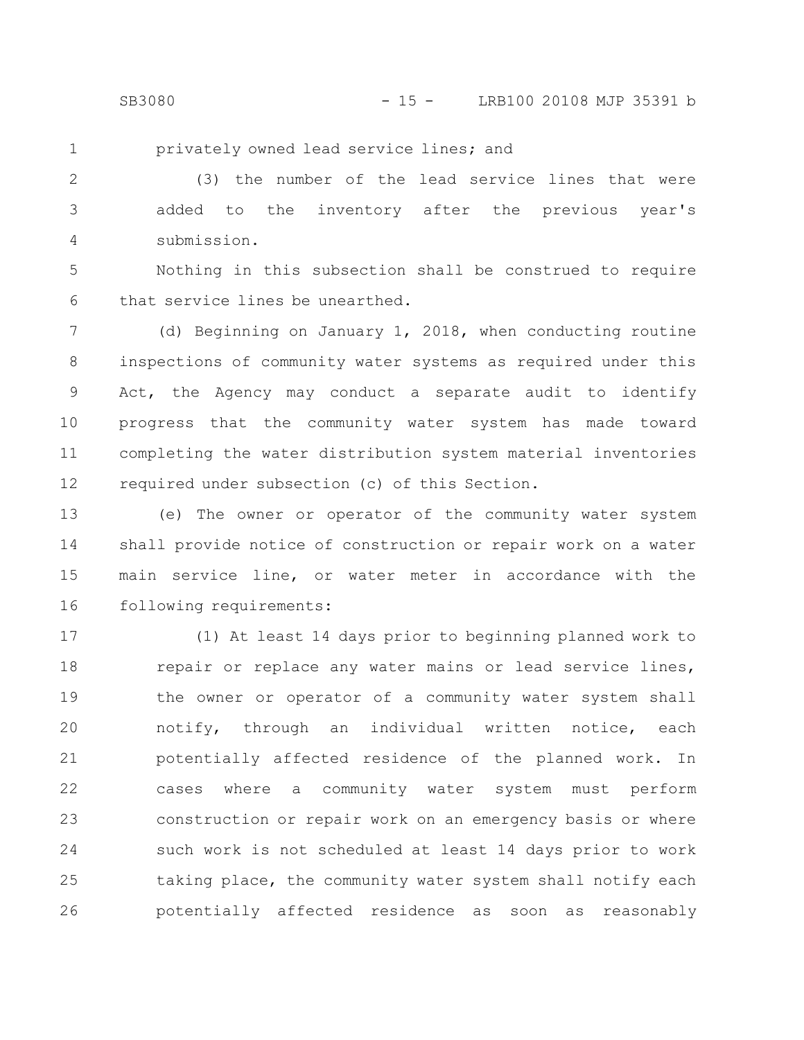1

privately owned lead service lines; and

(3) the number of the lead service lines that were added to the inventory after the previous year's submission. 2 3 4

Nothing in this subsection shall be construed to require that service lines be unearthed. 5 6

(d) Beginning on January 1, 2018, when conducting routine inspections of community water systems as required under this Act, the Agency may conduct a separate audit to identify progress that the community water system has made toward completing the water distribution system material inventories required under subsection (c) of this Section. 7 8 9 10 11 12

(e) The owner or operator of the community water system shall provide notice of construction or repair work on a water main service line, or water meter in accordance with the following requirements: 13 14 15 16

(1) At least 14 days prior to beginning planned work to repair or replace any water mains or lead service lines, the owner or operator of a community water system shall notify, through an individual written notice, each potentially affected residence of the planned work. In cases where a community water system must perform construction or repair work on an emergency basis or where such work is not scheduled at least 14 days prior to work taking place, the community water system shall notify each potentially affected residence as soon as reasonably 17 18 19 20 21 22 23 24 25 26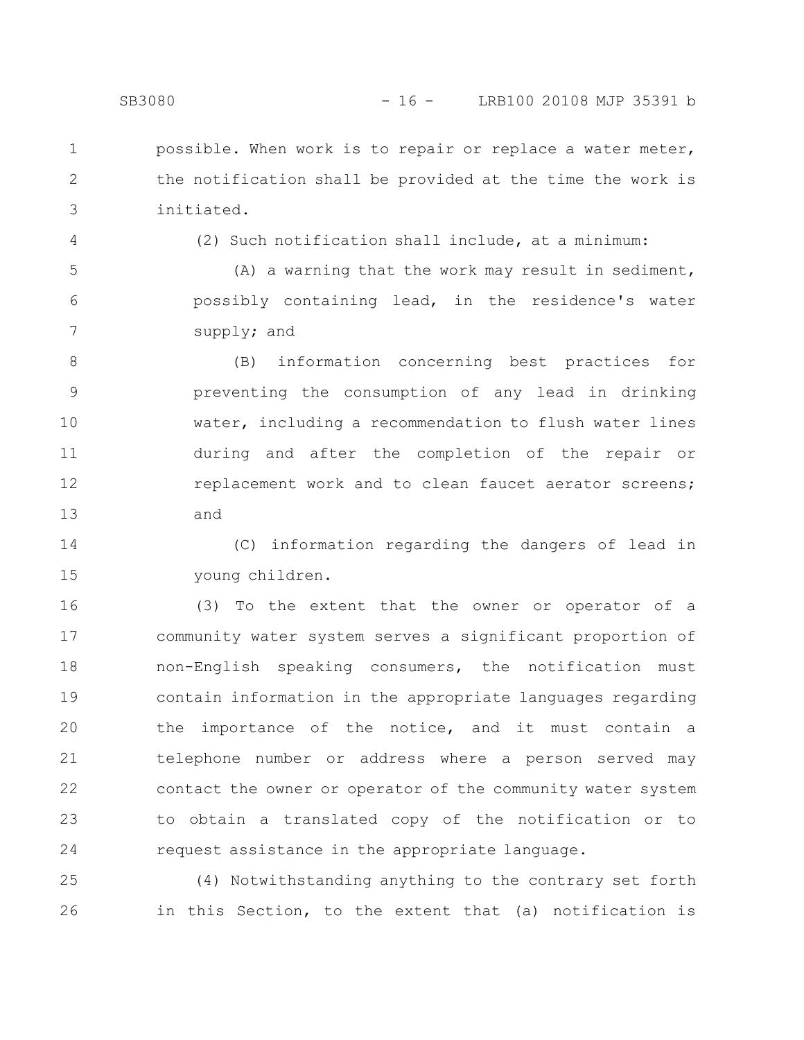- possible. When work is to repair or replace a water meter, the notification shall be provided at the time the work is 1 2
- 4

3

(2) Such notification shall include, at a minimum:

(A) a warning that the work may result in sediment, possibly containing lead, in the residence's water supply; and 5 6 7

(B) information concerning best practices for preventing the consumption of any lead in drinking water, including a recommendation to flush water lines during and after the completion of the repair or replacement work and to clean faucet aerator screens; and 8 9 10 11 12 13

(C) information regarding the dangers of lead in young children. 14 15

(3) To the extent that the owner or operator of a community water system serves a significant proportion of non-English speaking consumers, the notification must contain information in the appropriate languages regarding the importance of the notice, and it must contain a telephone number or address where a person served may contact the owner or operator of the community water system to obtain a translated copy of the notification or to request assistance in the appropriate language. 16 17 18 19 20 21 22 23 24

(4) Notwithstanding anything to the contrary set forth in this Section, to the extent that (a) notification is 25 26

initiated.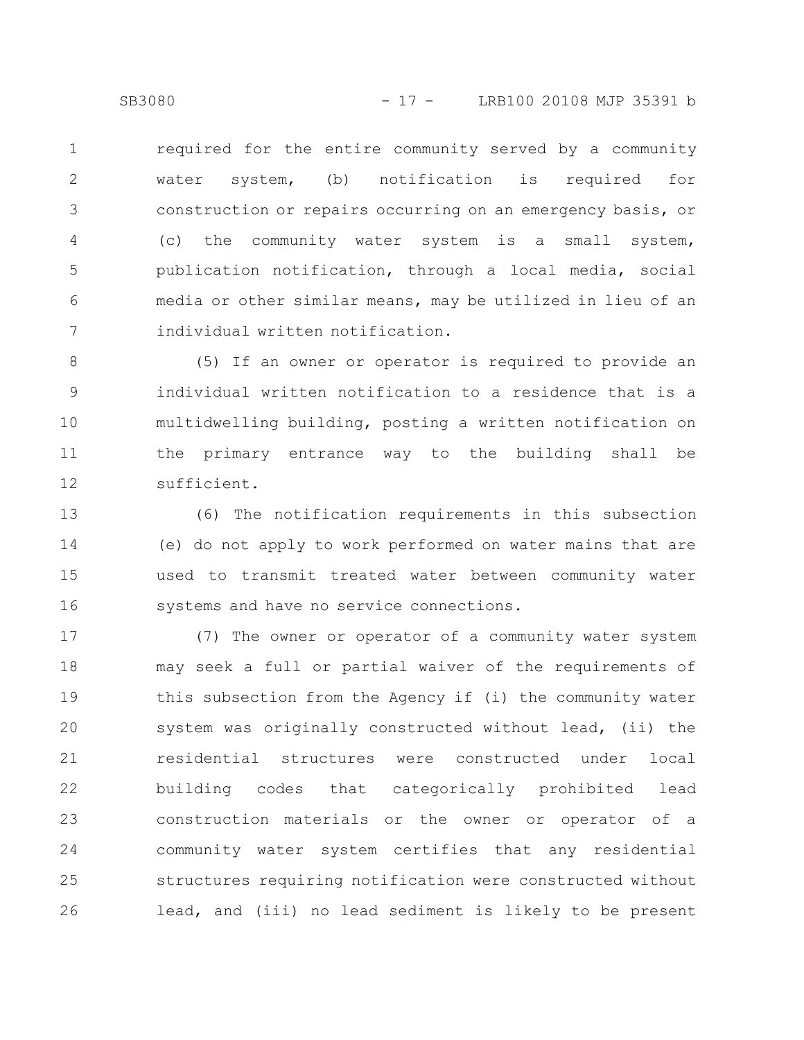required for the entire community served by a community water system, (b) notification is required for construction or repairs occurring on an emergency basis, or (c) the community water system is a small system, publication notification, through a local media, social media or other similar means, may be utilized in lieu of an individual written notification. 1 2 3 4 5 6 7

(5) If an owner or operator is required to provide an individual written notification to a residence that is a multidwelling building, posting a written notification on the primary entrance way to the building shall be sufficient. 8 9 10 11 12

(6) The notification requirements in this subsection (e) do not apply to work performed on water mains that are used to transmit treated water between community water systems and have no service connections. 13 14 15 16

(7) The owner or operator of a community water system may seek a full or partial waiver of the requirements of this subsection from the Agency if (i) the community water system was originally constructed without lead, (ii) the residential structures were constructed under local building codes that categorically prohibited lead construction materials or the owner or operator of a community water system certifies that any residential structures requiring notification were constructed without lead, and (iii) no lead sediment is likely to be present 17 18 19 20 21 22 23 24 25 26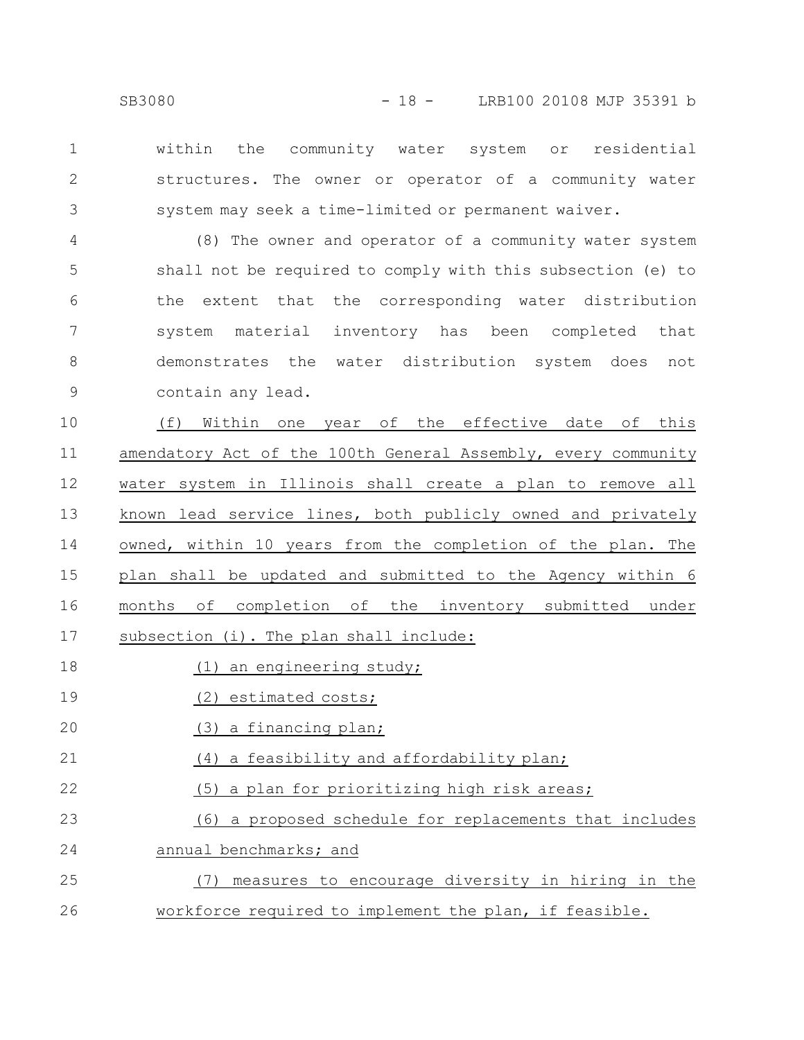within the community water system or residential structures. The owner or operator of a community water system may seek a time-limited or permanent waiver. 1 2 3

(8) The owner and operator of a community water system shall not be required to comply with this subsection (e) to the extent that the corresponding water distribution system material inventory has been completed that demonstrates the water distribution system does not contain any lead. 4 5 6 7 8 9

(f) Within one year of the effective date of this amendatory Act of the 100th General Assembly, every community water system in Illinois shall create a plan to remove all known lead service lines, both publicly owned and privately owned, within 10 years from the completion of the plan. The plan shall be updated and submitted to the Agency within 6 months of completion of the inventory submitted under subsection (i). The plan shall include: 10 11 12 13 14 15 16 17

- (1) an engineering study; 18
- (2) estimated costs; 19
- (3) a financing plan; 20
- (4) a feasibility and affordability plan; 21
- (5) a plan for prioritizing high risk areas; 22
- (6) a proposed schedule for replacements that includes 23
- annual benchmarks; and 24
- (7) measures to encourage diversity in hiring in the workforce required to implement the plan, if feasible. 25 26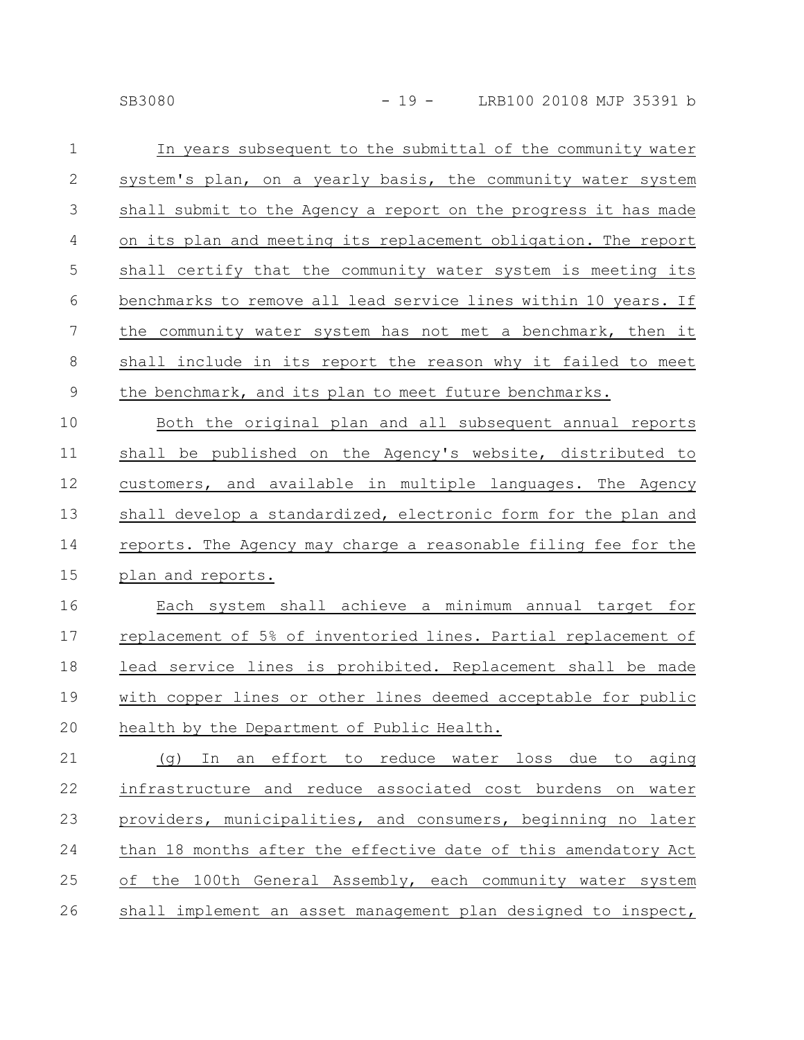|  | ススハ8、 |  |
|--|-------|--|

| In years subsequent to the submittal of the community water      |
|------------------------------------------------------------------|
| system's plan, on a yearly basis, the community water system     |
| shall submit to the Agency a report on the progress it has made  |
| on its plan and meeting its replacement obligation. The report   |
| shall certify that the community water system is meeting its     |
| benchmarks to remove all lead service lines within 10 years. If  |
| the community water system has not met a benchmark, then it      |
| shall include in its report the reason why it failed to meet     |
| the benchmark, and its plan to meet future benchmarks.           |
| Both the original plan and all subsequent annual reports         |
| shall be published on the Agency's website, distributed to       |
| customers, and available in multiple languages. The Agency       |
| shall develop a standardized, electronic form for the plan and   |
| reports. The Agency may charge a reasonable filing fee for the   |
| plan and reports.                                                |
| Each system shall achieve a minimum annual target for            |
| replacement of 5% of inventoried lines. Partial replacement of   |
| lead service lines is prohibited. Replacement shall be made      |
| with copper lines or other lines deemed acceptable for public    |
| health by the Department of Public Health.                       |
| In an effort to reduce water loss due to aging<br>(q)            |
| infrastructure and reduce associated cost burdens<br>on<br>water |
| providers, municipalities, and consumers, beginning no later     |
| than 18 months after the effective date of this amendatory Act   |
| of the 100th General Assembly, each community water system       |
|                                                                  |

26 Shall implement an asset management plan designed to inspect,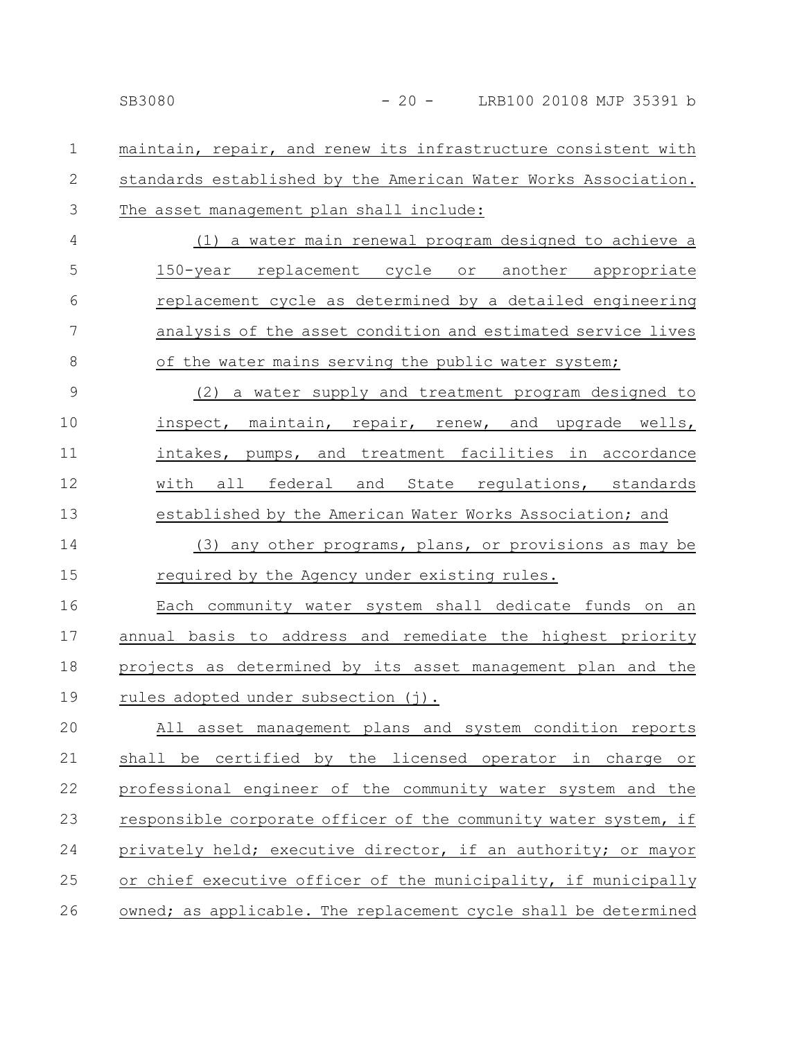maintain, repair, and renew its infrastructure consistent with standards established by the American Water Works Association. The asset management plan shall include: 1 2 3

(1) a water main renewal program designed to achieve a 150-year replacement cycle or another appropriate replacement cycle as determined by a detailed engineering analysis of the asset condition and estimated service lives of the water mains serving the public water system; 4 5 6 7 8

(2) a water supply and treatment program designed to inspect, maintain, repair, renew, and upgrade wells, intakes, pumps, and treatment facilities in accordance with all federal and State regulations, standards established by the American Water Works Association; and 9 10 11 12 13

(3) any other programs, plans, or provisions as may be required by the Agency under existing rules. 14 15

Each community water system shall dedicate funds on an annual basis to address and remediate the highest priority projects as determined by its asset management plan and the rules adopted under subsection (j). 16 17 18 19

All asset management plans and system condition reports shall be certified by the licensed operator in charge or professional engineer of the community water system and the responsible corporate officer of the community water system, if privately held; executive director, if an authority; or mayor or chief executive officer of the municipality, if municipally owned; as applicable. The replacement cycle shall be determined 20 21 22 23 24 25 26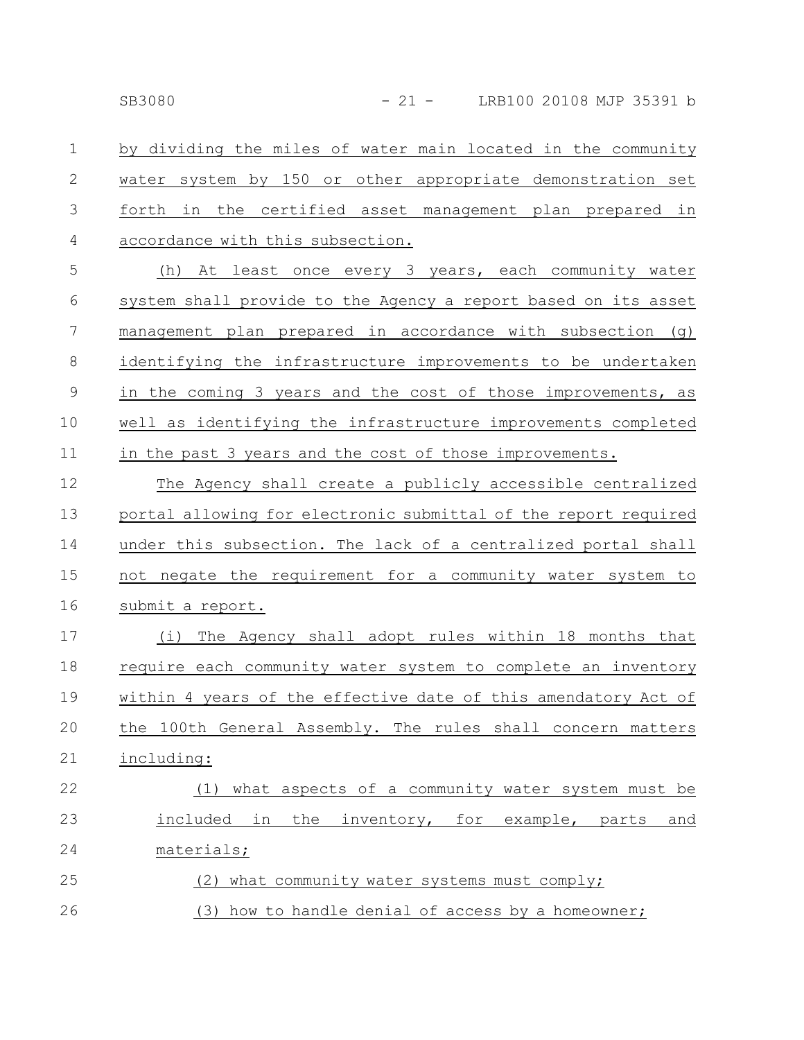by dividing the miles of water main located in the community water system by 150 or other appropriate demonstration set forth in the certified asset management plan prepared in accordance with this subsection. 1 2 3 4

(h) At least once every 3 years, each community water system shall provide to the Agency a report based on its asset management plan prepared in accordance with subsection (g) identifying the infrastructure improvements to be undertaken in the coming 3 years and the cost of those improvements, as well as identifying the infrastructure improvements completed in the past 3 years and the cost of those improvements. 5 6 7 8 9 10 11

The Agency shall create a publicly accessible centralized portal allowing for electronic submittal of the report required under this subsection. The lack of a centralized portal shall not negate the requirement for a community water system to submit a report. 12 13 14 15 16

(i) The Agency shall adopt rules within 18 months that require each community water system to complete an inventory within 4 years of the effective date of this amendatory Act of the 100th General Assembly. The rules shall concern matters including: 17 18 19 20 21

## (1) what aspects of a community water system must be included in the inventory, for example, parts and materials; (2) what community water systems must comply; 22 23 24 25 26

(3) how to handle denial of access by a homeowner;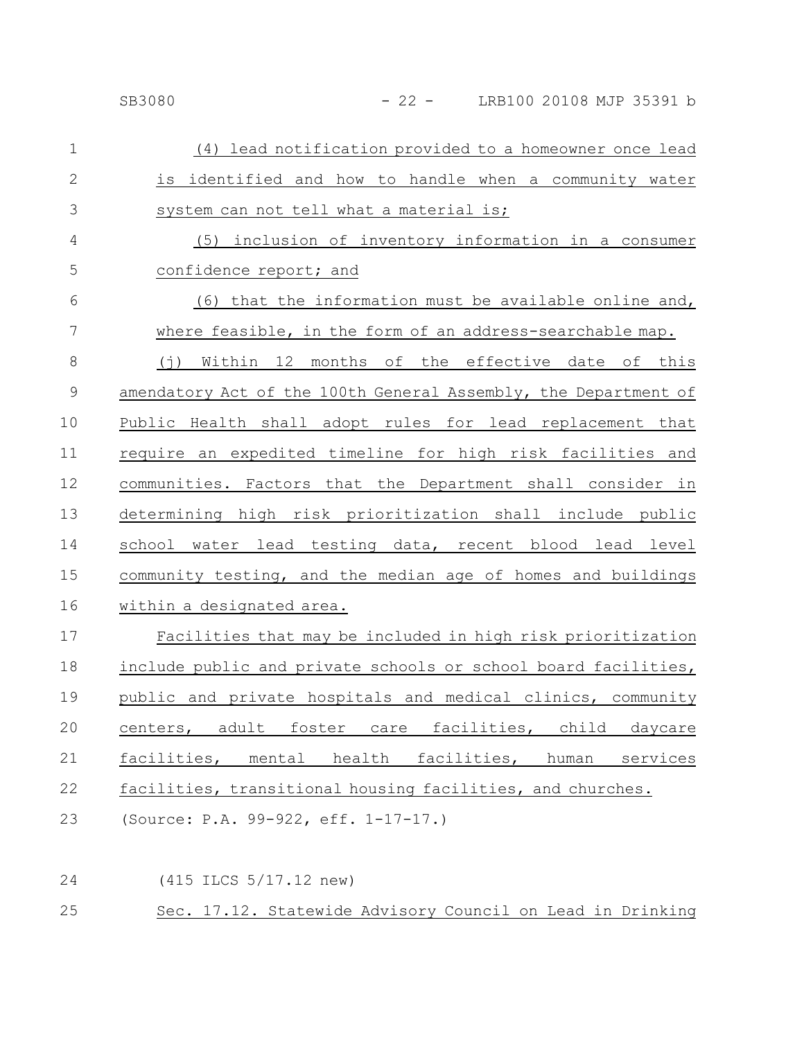## SB3080 - 22 - LRB100 20108 MJP 35391 b

| $\mathbf 1$    | (4) lead notification provided to a homeowner once lead                |
|----------------|------------------------------------------------------------------------|
| $\overline{2}$ | is identified and how to handle when a community water                 |
| 3              | system can not tell what a material is;                                |
| 4              | (5) inclusion of inventory information in a consumer                   |
| 5              | confidence report; and                                                 |
| 6              | (6) that the information must be available online and,                 |
| 7              | where feasible, in the form of an address-searchable map.              |
| 8              | Within 12 months of the effective date of this<br>$(\dagger)$          |
| $\mathsf 9$    | amendatory Act of the 100th General Assembly, the Department of        |
| 10             | Public Health shall adopt rules for lead replacement that              |
| 11             | require an expedited timeline for high risk facilities and             |
| 12             | communities. Factors that the Department shall consider in             |
| 13             | determining high risk prioritization shall include public              |
| 14             | school water lead testing data, recent blood lead level                |
| 15             | community testing, and the median age of homes and buildings           |
| 16             | within a designated area.                                              |
| 17             | Facilities that may be included in high risk prioritization            |
| 18             | include public and private schools or school board facilities,         |
| 19             | public and private hospitals and medical clinics, community            |
| 20             | facilities,<br>child<br>centers,<br>adult<br>foster<br>daycare<br>care |
| 21             | health facilities,<br>facilities,<br>mental<br>human<br>services       |
| 22             | facilities, transitional housing facilities, and churches.             |
| 23             | (Source: P.A. 99-922, eff. 1-17-17.)                                   |
|                |                                                                        |
| 24             | (415 ILCS 5/17.12 new)                                                 |

Sec. 17.12. Statewide Advisory Council on Lead in Drinking 25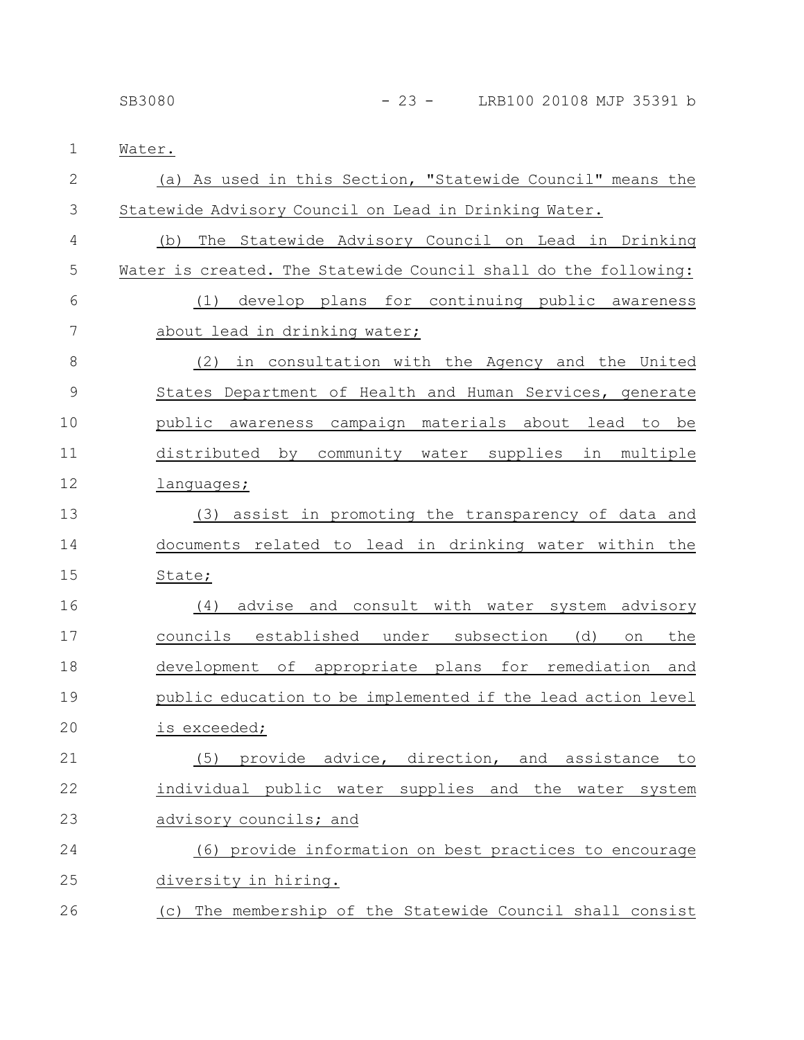| $\mathbf 1$    | Water.                                                          |
|----------------|-----------------------------------------------------------------|
| $\overline{2}$ | (a) As used in this Section, "Statewide Council" means the      |
| 3              | Statewide Advisory Council on Lead in Drinking Water.           |
| 4              | The Statewide Advisory Council on Lead in Drinking<br>(b)       |
| 5              | Water is created. The Statewide Council shall do the following: |
| 6              | develop plans for continuing public awareness<br>(1)            |
| 7              | about lead in drinking water;                                   |
| 8              | in consultation with the Agency and the United<br>(2)           |
| 9              | States Department of Health and Human Services, generate        |
| 10             | public awareness campaign materials about lead to be            |
| 11             | distributed by community water supplies in multiple             |
| 12             | languages;                                                      |
| 13             | (3) assist in promoting the transparency of data and            |
| 14             | documents related to lead in drinking water within the          |
| 15             | State;                                                          |
| 16             | advise and consult with water system advisory<br>(4)            |
| 17             | councils established under subsection<br>(d)<br>the<br>on       |
| 18             | development of appropriate plans for remediation and            |
| 19             | public education to be implemented if the lead action level     |
| 20             | is exceeded;                                                    |
| 21             | provide advice, direction, and assistance<br>(5)<br>to          |
| 22             | individual public water supplies and the water system           |
| 23             | advisory councils; and                                          |
| 24             | (6) provide information on best practices to encourage          |
| 25             | diversity in hiring.                                            |
| 26             | The membership of the Statewide Council shall consist<br>(C)    |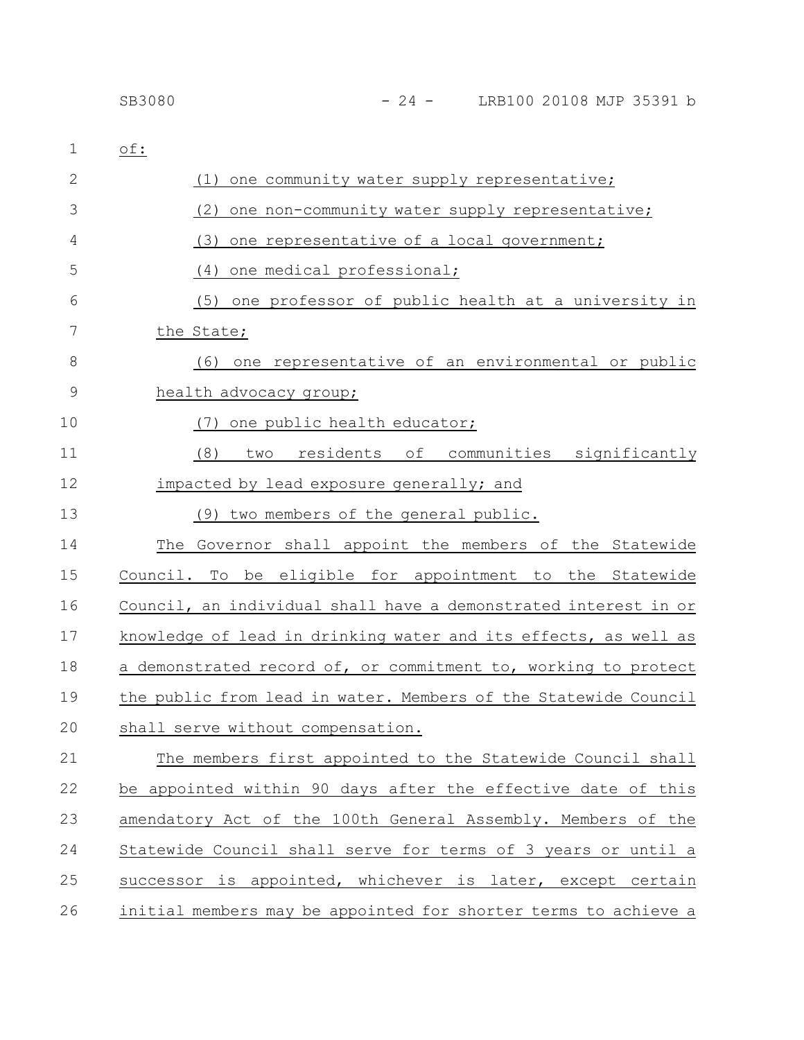| 1             | of:                                                             |
|---------------|-----------------------------------------------------------------|
| 2             | one community water supply representative;<br>(1)               |
| 3             | (2)<br>one non-community water supply representative;           |
| 4             | (3)<br>one representative of a local government;                |
| 5             | (4)<br>one medical professional;                                |
| 6             | (5) one professor of public health at a university in           |
| 7             | the State;                                                      |
| 8             | one representative of an environmental or public<br>(6)         |
| $\mathcal{G}$ | health advocacy group;                                          |
| 10            | one public health educator;<br>(7)                              |
| 11            | residents of communities significantly<br>(8)<br>two            |
| 12            | impacted by lead exposure generally; and                        |
| 13            | (9) two members of the general public.                          |
| 14            | The Governor shall appoint the members of the Statewide         |
| 15            | Council. To<br>be eligible for appointment to the Statewide     |
| 16            | Council, an individual shall have a demonstrated interest in or |
| 17            | knowledge of lead in drinking water and its effects, as well as |
| 18            | a demonstrated record of, or commitment to, working to protect  |
| 19            | the public from lead in water. Members of the Statewide Council |
| 20            | shall serve without compensation.                               |
| 21            | The members first appointed to the Statewide Council shall      |
| 22            | be appointed within 90 days after the effective date of this    |
| 23            | amendatory Act of the 100th General Assembly. Members of the    |
| 24            | Statewide Council shall serve for terms of 3 years or until a   |
| 25            | successor is appointed, whichever is later, except certain      |
| 26            | initial members may be appointed for shorter terms to achieve a |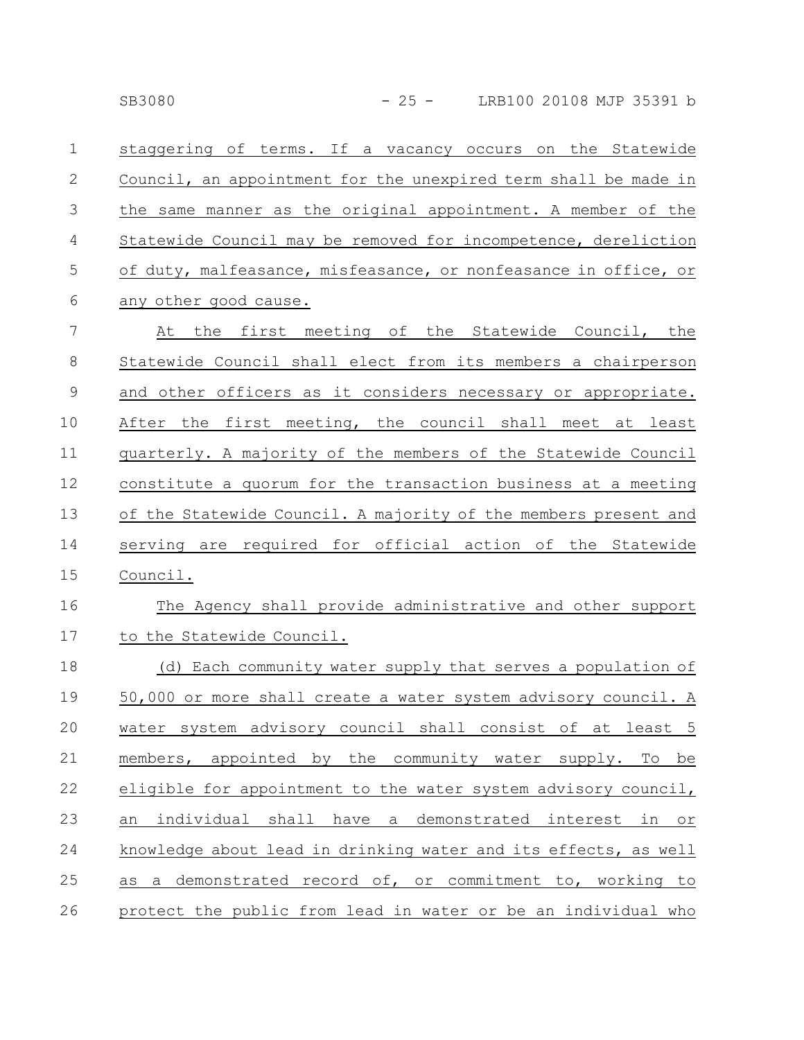staggering of terms. If a vacancy occurs on the Statewide Council, an appointment for the unexpired term shall be made in the same manner as the original appointment. A member of the Statewide Council may be removed for incompetence, dereliction of duty, malfeasance, misfeasance, or nonfeasance in office, or any other good cause. 1 2 3 4 5 6

At the first meeting of the Statewide Council, the Statewide Council shall elect from its members a chairperson and other officers as it considers necessary or appropriate. After the first meeting, the council shall meet at least quarterly. A majority of the members of the Statewide Council constitute a quorum for the transaction business at a meeting of the Statewide Council. A majority of the members present and serving are required for official action of the Statewide Council. 7 8 9 10 11 12 13 14 15

#### The Agency shall provide administrative and other support to the Statewide Council. 16 17

| 18 | (d) Each community water supply that serves a population of     |
|----|-----------------------------------------------------------------|
| 19 | 50,000 or more shall create a water system advisory council. A  |
| 20 | water system advisory council shall consist of at least 5       |
| 21 | members, appointed by the community water supply. To be         |
| 22 | eligible for appointment to the water system advisory council,  |
| 23 | an individual shall have a demonstrated interest in or          |
| 24 | knowledge about lead in drinking water and its effects, as well |
| 25 | as a demonstrated record of, or commitment to, working to       |
| 26 | protect the public from lead in water or be an individual who   |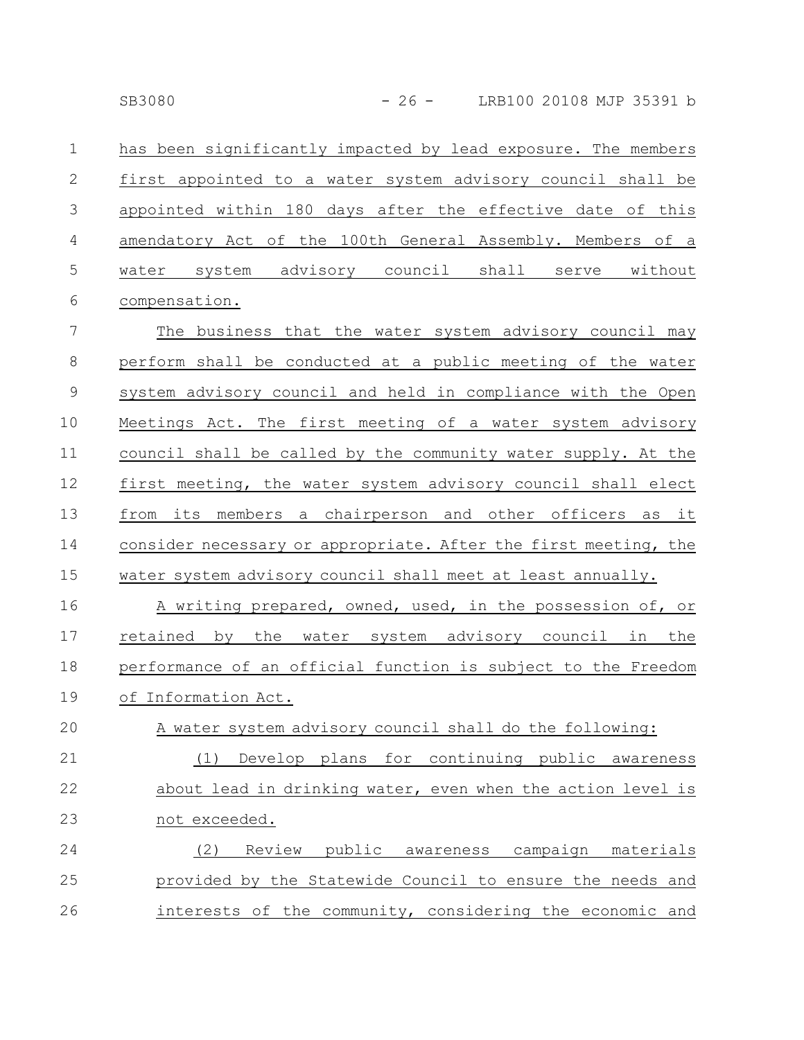has been significantly impacted by lead exposure. The members first appointed to a water system advisory council shall be appointed within 180 days after the effective date of this amendatory Act of the 100th General Assembly. Members of a water system advisory council shall serve without compensation. 1 2 3 4 5 6

The business that the water system advisory council may perform shall be conducted at a public meeting of the water system advisory council and held in compliance with the Open Meetings Act. The first meeting of a water system advisory council shall be called by the community water supply. At the first meeting, the water system advisory council shall elect from its members a chairperson and other officers as it consider necessary or appropriate. After the first meeting, the water system advisory council shall meet at least annually. 7 8 9 10 11 12 13 14 15

A writing prepared, owned, used, in the possession of, or retained by the water system advisory council in the performance of an official function is subject to the Freedom of Information Act. 16 17 18 19

A water system advisory council shall do the following: (1) Develop plans for continuing public awareness about lead in drinking water, even when the action level is not exceeded. 20 21 22 23

(2) Review public awareness campaign materials provided by the Statewide Council to ensure the needs and interests of the community, considering the economic and 24 25 26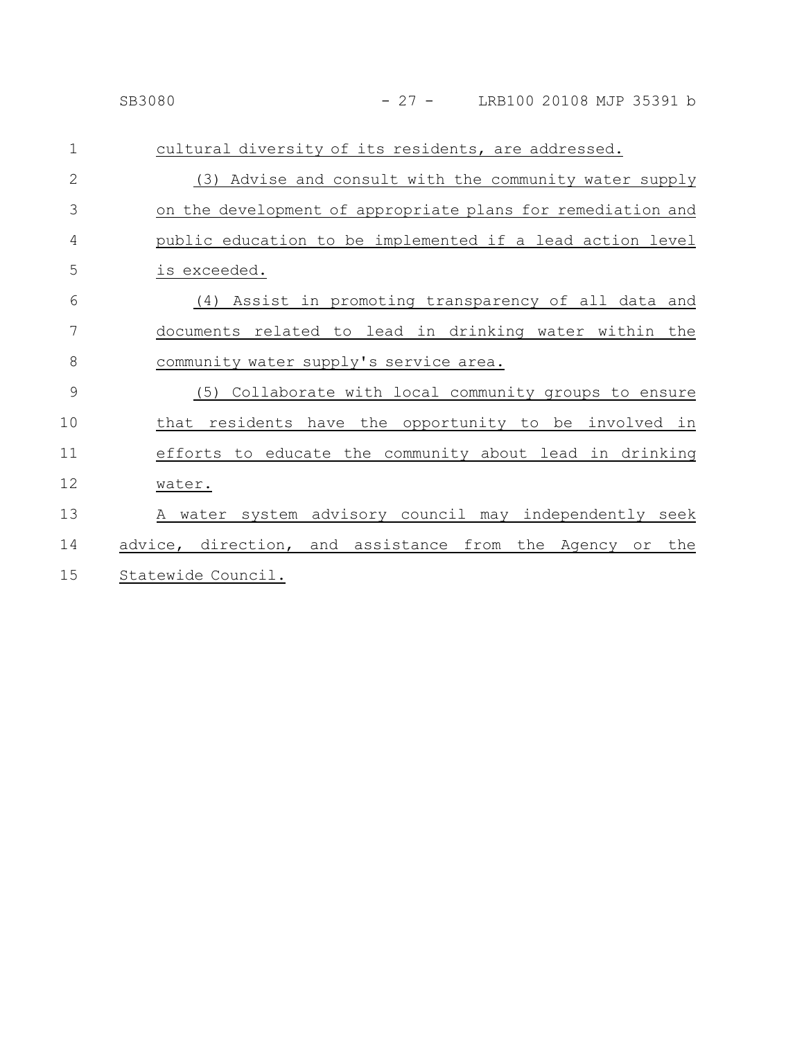| $\mathbf 1$ | cultural diversity of its residents, are addressed.         |
|-------------|-------------------------------------------------------------|
| 2           | (3) Advise and consult with the community water supply      |
| 3           | on the development of appropriate plans for remediation and |
| 4           | public education to be implemented if a lead action level   |
| 5           | is exceeded.                                                |
| 6           | (4) Assist in promoting transparency of all data and        |
| 7           | documents related to lead in drinking water within the      |
| 8           | community water supply's service area.                      |
| 9           | (5) Collaborate with local community groups to ensure       |
| 10          | that residents have the opportunity to be involved in       |
| 11          | efforts to educate the community about lead in drinking     |
| 12          | water.                                                      |
| 13          | A water system advisory council may independently seek      |
| 14          | advice, direction, and assistance from the Agency or<br>the |
| 15          | Statewide Council.                                          |
|             |                                                             |